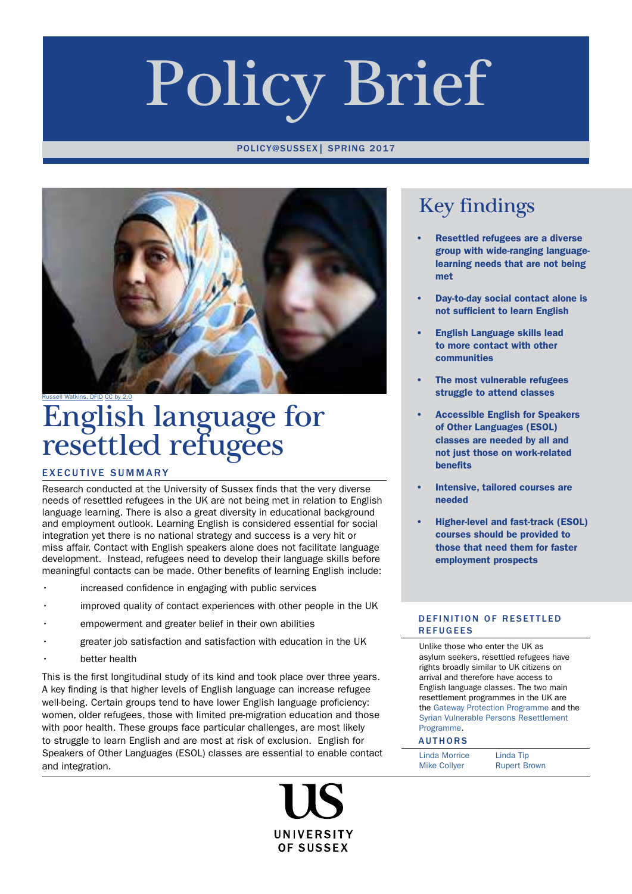# Policy Brief

#### POLICY@SUSSEX| SPRING 2017



## [Russell Watkins, DFID](https://upload.wikimedia.org/wikipedia/commons/5/51/Women_refugees_from_Syria_at_a_clinic_in_Jordan_(9613479675).jpg) [CC by 2.0](https://creativecommons.org/licenses/by/2.0/)<br>**English language for** resettled refugees

#### EXECUTIVE SUMMARY

Research conducted at the University of Sussex finds that the very diverse needs of resettled refugees in the UK are not being met in relation to English language learning. There is also a great diversity in educational background and employment outlook. Learning English is considered essential for social integration yet there is no national strategy and success is a very hit or miss affair. Contact with English speakers alone does not facilitate language development. Instead, refugees need to develop their language skills before meaningful contacts can be made. Other benefits of learning English include:

- increased confidence in engaging with public services
- improved quality of contact experiences with other people in the UK
- empowerment and greater belief in their own abilities
- greater job satisfaction and satisfaction with education in the UK
- better health

This is the first longitudinal study of its kind and took place over three years. A key finding is that higher levels of English language can increase refugee well-being. Certain groups tend to have lower English language proficiency: women, older refugees, those with limited pre-migration education and those with poor health. These groups face particular challenges, are most likely to struggle to learn English and are most at risk of exclusion. English for Speakers of Other Languages (ESOL) classes are essential to enable contact and integration.

> UNIVERSITY **OF SUSSEX**

## Key findings

- Resettled refugees are a diverse group with wide-ranging languagelearning needs that are not being met
- Day-to-day social contact alone is not sufficient to learn English
- English Language skills lead to more contact with other communities
- The most vulnerable refugees struggle to attend classes
- Accessible English for Speakers of Other Languages (ESOL) classes are needed by all and not just those on work-related benefits
- Intensive, tailored courses are needed
- Higher-level and fast-track (ESOL) courses should be provided to those that need them for faster employment prospects

#### DEFINITION OF RESETTLED REFUGEES

Unlike those who enter the UK as asylum seekers, resettled refugees have rights broadly similar to UK citizens on arrival and therefore have access to English language classes. The two main resettlement programmes in the UK are the [Gateway Protection Programme](https://www.gov.uk/government/publications/gateway-protection-programme-information-for-organisations/gateway-protection-programme) and the [Syrian Vulnerable Persons Resettlement](https://www.nao.org.uk/wp-content/uploads/2016/09/The-Syrian-Vulnerable-Persons-Resettlement-programme.pdf)  [Programme](https://www.nao.org.uk/wp-content/uploads/2016/09/The-Syrian-Vulnerable-Persons-Resettlement-programme.pdf).

#### AUTHORS

| <b>Linda Morrice</b> | Linda Tip           |
|----------------------|---------------------|
| <b>Mike Collyer</b>  | <b>Rupert Brown</b> |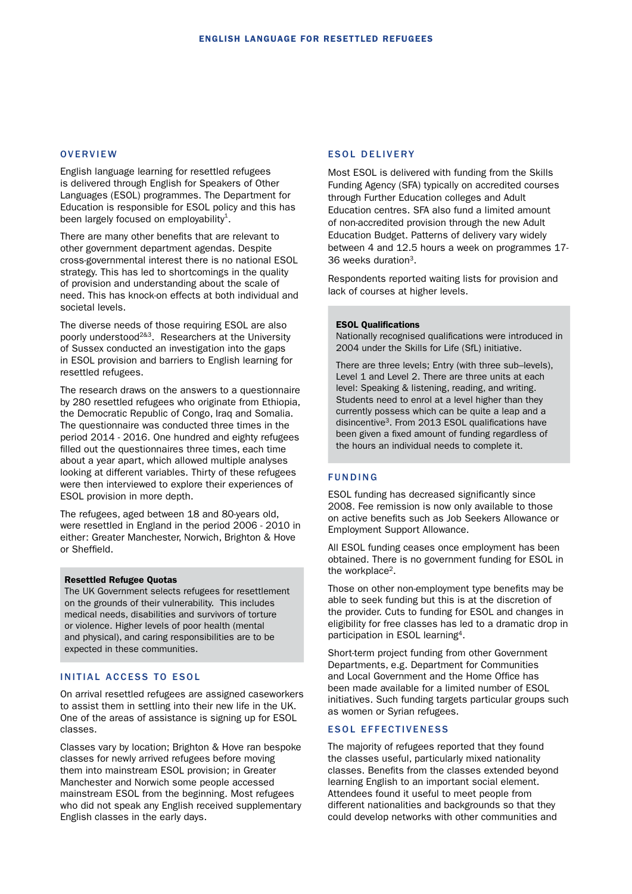#### **OVERVIEW**

English language learning for resettled refugees is delivered through English for Speakers of Other Languages (ESOL) programmes. The Department for Education is responsible for ESOL policy and this has been largely focused on employability $^1$ .

There are many other benefits that are relevant to other government department agendas. Despite cross-governmental interest there is no national ESOL strategy. This has led to shortcomings in the quality of provision and understanding about the scale of need. This has knock-on effects at both individual and societal levels.

The diverse needs of those requiring ESOL are also poorly understood2&3. Researchers at the University of Sussex conducted an investigation into the gaps in ESOL provision and barriers to English learning for resettled refugees.

The research draws on the answers to a questionnaire by 280 resettled refugees who originate from Ethiopia, the Democratic Republic of Congo, Iraq and Somalia. The questionnaire was conducted three times in the period 2014 - 2016. One hundred and eighty refugees filled out the questionnaires three times, each time about a year apart, which allowed multiple analyses looking at different variables. Thirty of these refugees were then interviewed to explore their experiences of ESOL provision in more depth.

The refugees, aged between 18 and 80-years old, were resettled in England in the period 2006 - 2010 in either: Greater Manchester, Norwich, Brighton & Hove or Sheffield.

#### Resettled Refugee Quotas

The UK Government selects refugees for resettlement on the grounds of their vulnerability. This includes medical needs, disabilities and survivors of torture or violence. Higher levels of poor health (mental and physical), and caring responsibilities are to be expected in these communities.

#### INITIAL ACCESS TO ESOL

On arrival resettled refugees are assigned caseworkers to assist them in settling into their new life in the UK. One of the areas of assistance is signing up for ESOL classes.

Classes vary by location; Brighton & Hove ran bespoke classes for newly arrived refugees before moving them into mainstream ESOL provision; in Greater Manchester and Norwich some people accessed mainstream ESOL from the beginning. Most refugees who did not speak any English received supplementary English classes in the early days.

#### ESOL DELIVERY

Most ESOL is delivered with funding from the Skills Funding Agency (SFA) typically on accredited courses through Further Education colleges and Adult Education centres. SFA also fund a limited amount of non-accredited provision through the new Adult Education Budget. Patterns of delivery vary widely between 4 and 12.5 hours a week on programmes 17- 36 weeks duration3.

Respondents reported waiting lists for provision and lack of courses at higher levels.

#### ESOL Qualifications

Nationally recognised qualifications were introduced in 2004 under the Skills for Life (SfL) initiative.

There are three levels; Entry (with three sub–levels), Level 1 and Level 2. There are three units at each level: Speaking & listening, reading, and writing. Students need to enrol at a level higher than they currently possess which can be quite a leap and a disincentive<sup>3</sup>. From 2013 ESOL qualifications have been given a fixed amount of funding regardless of the hours an individual needs to complete it.

#### FUNDING

ESOL funding has decreased significantly since 2008. Fee remission is now only available to those on active benefits such as Job Seekers Allowance or Employment Support Allowance.

All ESOL funding ceases once employment has been obtained. There is no government funding for ESOL in the workplace<sup>2</sup>.

Those on other non-employment type benefits may be able to seek funding but this is at the discretion of the provider. Cuts to funding for ESOL and changes in eligibility for free classes has led to a dramatic drop in participation in ESOL learning4.

Short-term project funding from other Government Departments, e.g. Department for Communities and Local Government and the Home Office has been made available for a limited number of ESOL initiatives. Such funding targets particular groups such as women or Syrian refugees.

#### ESOL EFFECTIVENESS

The majority of refugees reported that they found the classes useful, particularly mixed nationality classes. Benefits from the classes extended beyond learning English to an important social element. Attendees found it useful to meet people from different nationalities and backgrounds so that they could develop networks with other communities and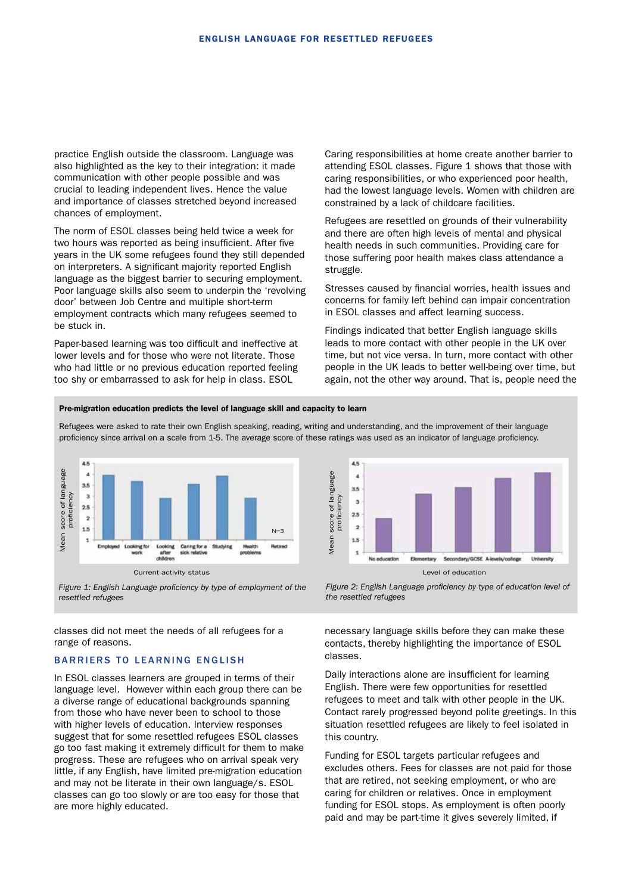practice English outside the classroom. Language was also highlighted as the key to their integration: it made communication with other people possible and was crucial to leading independent lives. Hence the value and importance of classes stretched beyond increased chances of employment.

The norm of ESOL classes being held twice a week for two hours was reported as being insufficient. After five years in the UK some refugees found they still depended on interpreters. A significant majority reported English language as the biggest barrier to securing employment. Poor language skills also seem to underpin the 'revolving door' between Job Centre and multiple short-term employment contracts which many refugees seemed to be stuck in.

Paper-based learning was too difficult and ineffective at lower levels and for those who were not literate. Those who had little or no previous education reported feeling too shy or embarrassed to ask for help in class. ESOL

Caring responsibilities at home create another barrier to attending ESOL classes. Figure 1 shows that those with caring responsibilities, or who experienced poor health, had the lowest language levels. Women with children are constrained by a lack of childcare facilities.

Refugees are resettled on grounds of their vulnerability and there are often high levels of mental and physical health needs in such communities. Providing care for those suffering poor health makes class attendance a struggle.

Stresses caused by financial worries, health issues and concerns for family left behind can impair concentration in ESOL classes and affect learning success.

Findings indicated that better English language skills leads to more contact with other people in the UK over time, but not vice versa. In turn, more contact with other people in the UK leads to better well-being over time, but again, not the other way around. That is, people need the

#### Pre-migration education predicts the level of language skill and capacity to learn

Refugees were asked to rate their own English speaking, reading, writing and understanding, and the improvement of their language proficiency since arrival on a scale from 1-5. The average score of these ratings was used as an indicator of language proficiency.



*Figure 1: English Language proficiency by type of employment of the resettled refugees*

classes did not meet the needs of all refugees for a range of reasons.

#### BARRIERS TO LEARNING ENGLISH

In ESOL classes learners are grouped in terms of their language level. However within each group there can be a diverse range of educational backgrounds spanning from those who have never been to school to those with higher levels of education. Interview responses suggest that for some resettled refugees ESOL classes go too fast making it extremely difficult for them to make progress. These are refugees who on arrival speak very little, if any English, have limited pre-migration education and may not be literate in their own language/s. ESOL classes can go too slowly or are too easy for those that are more highly educated.



*Figure 2: English Language proficiency by type of education level of the resettled refugees*

necessary language skills before they can make these contacts, thereby highlighting the importance of ESOL classes.

Daily interactions alone are insufficient for learning English. There were few opportunities for resettled refugees to meet and talk with other people in the UK. Contact rarely progressed beyond polite greetings. In this situation resettled refugees are likely to feel isolated in this country.

Funding for ESOL targets particular refugees and excludes others. Fees for classes are not paid for those that are retired, not seeking employment, or who are caring for children or relatives. Once in employment funding for ESOL stops. As employment is often poorly paid and may be part-time it gives severely limited, if